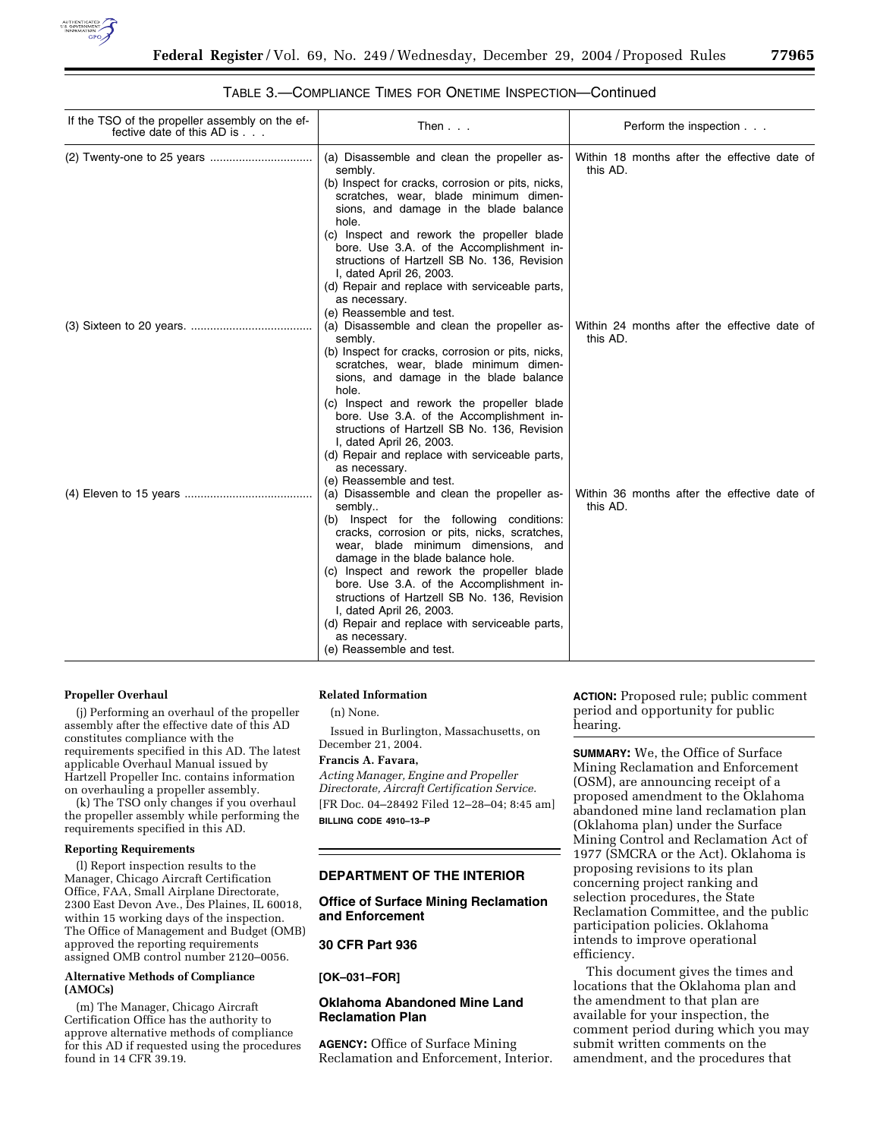

### TABLE 3.—COMPLIANCE TIMES FOR ONETIME INSPECTION—Continued

| If the TSO of the propeller assembly on the ef-<br>fective date of this AD is | Then $\ldots$                                                                                                                                                                                                                                                                                                                                                                                                                                                                                      | Perform the inspection                                   |
|-------------------------------------------------------------------------------|----------------------------------------------------------------------------------------------------------------------------------------------------------------------------------------------------------------------------------------------------------------------------------------------------------------------------------------------------------------------------------------------------------------------------------------------------------------------------------------------------|----------------------------------------------------------|
|                                                                               | (a) Disassemble and clean the propeller as-<br>sembly.<br>(b) Inspect for cracks, corrosion or pits, nicks,<br>scratches, wear, blade minimum dimen-<br>sions, and damage in the blade balance<br>hole.<br>(c) Inspect and rework the propeller blade<br>bore. Use 3.A. of the Accomplishment in-<br>structions of Hartzell SB No. 136, Revision<br>I, dated April 26, 2003.<br>(d) Repair and replace with serviceable parts,<br>as necessary.<br>(e) Reassemble and test.                        | Within 18 months after the effective date of<br>this AD. |
|                                                                               | (a) Disassemble and clean the propeller as-<br>sembly.<br>(b) Inspect for cracks, corrosion or pits, nicks,<br>scratches, wear, blade minimum dimen-<br>sions, and damage in the blade balance<br>hole.<br>(c) Inspect and rework the propeller blade<br>bore. Use 3.A. of the Accomplishment in-<br>structions of Hartzell SB No. 136, Revision<br>I, dated April 26, 2003.<br>(d) Repair and replace with serviceable parts,<br>as necessary.<br>(e) Reassemble and test.                        | Within 24 months after the effective date of<br>this AD. |
|                                                                               | (a) Disassemble and clean the propeller as-<br>sembly<br>(b) Inspect for the following conditions:<br>cracks, corrosion or pits, nicks, scratches,<br>wear, blade minimum dimensions, and<br>damage in the blade balance hole.<br>(c) Inspect and rework the propeller blade<br>bore. Use 3.A. of the Accomplishment in-<br>structions of Hartzell SB No. 136, Revision<br>I, dated April 26, 2003.<br>(d) Repair and replace with serviceable parts,<br>as necessary.<br>(e) Reassemble and test. | Within 36 months after the effective date of<br>this AD. |

#### **Propeller Overhaul**

(j) Performing an overhaul of the propeller assembly after the effective date of this AD constitutes compliance with the requirements specified in this AD. The latest applicable Overhaul Manual issued by Hartzell Propeller Inc. contains information on overhauling a propeller assembly.

(k) The TSO only changes if you overhaul the propeller assembly while performing the requirements specified in this AD.

### **Reporting Requirements**

(l) Report inspection results to the Manager, Chicago Aircraft Certification Office, FAA, Small Airplane Directorate, 2300 East Devon Ave., Des Plaines, IL 60018, within 15 working days of the inspection. The Office of Management and Budget (OMB) approved the reporting requirements assigned OMB control number 2120–0056.

#### **Alternative Methods of Compliance (AMOCs)**

(m) The Manager, Chicago Aircraft Certification Office has the authority to approve alternative methods of compliance for this AD if requested using the procedures found in 14 CFR 39.19.

#### **Related Information**

(n) None.

Issued in Burlington, Massachusetts, on December 21, 2004.

# **Francis A. Favara,**

*Acting Manager, Engine and Propeller Directorate, Aircraft Certification Service.* [FR Doc. 04–28492 Filed 12–28–04; 8:45 am] **BILLING CODE 4910–13–P**

#### **DEPARTMENT OF THE INTERIOR**

**Office of Surface Mining Reclamation and Enforcement** 

# **30 CFR Part 936**

**[OK–031–FOR]** 

## **Oklahoma Abandoned Mine Land Reclamation Plan**

**AGENCY:** Office of Surface Mining Reclamation and Enforcement, Interior. **ACTION:** Proposed rule; public comment period and opportunity for public hearing.

**SUMMARY:** We, the Office of Surface Mining Reclamation and Enforcement (OSM), are announcing receipt of a proposed amendment to the Oklahoma abandoned mine land reclamation plan (Oklahoma plan) under the Surface Mining Control and Reclamation Act of 1977 (SMCRA or the Act). Oklahoma is proposing revisions to its plan concerning project ranking and selection procedures, the State Reclamation Committee, and the public participation policies. Oklahoma intends to improve operational efficiency.

This document gives the times and locations that the Oklahoma plan and the amendment to that plan are available for your inspection, the comment period during which you may submit written comments on the amendment, and the procedures that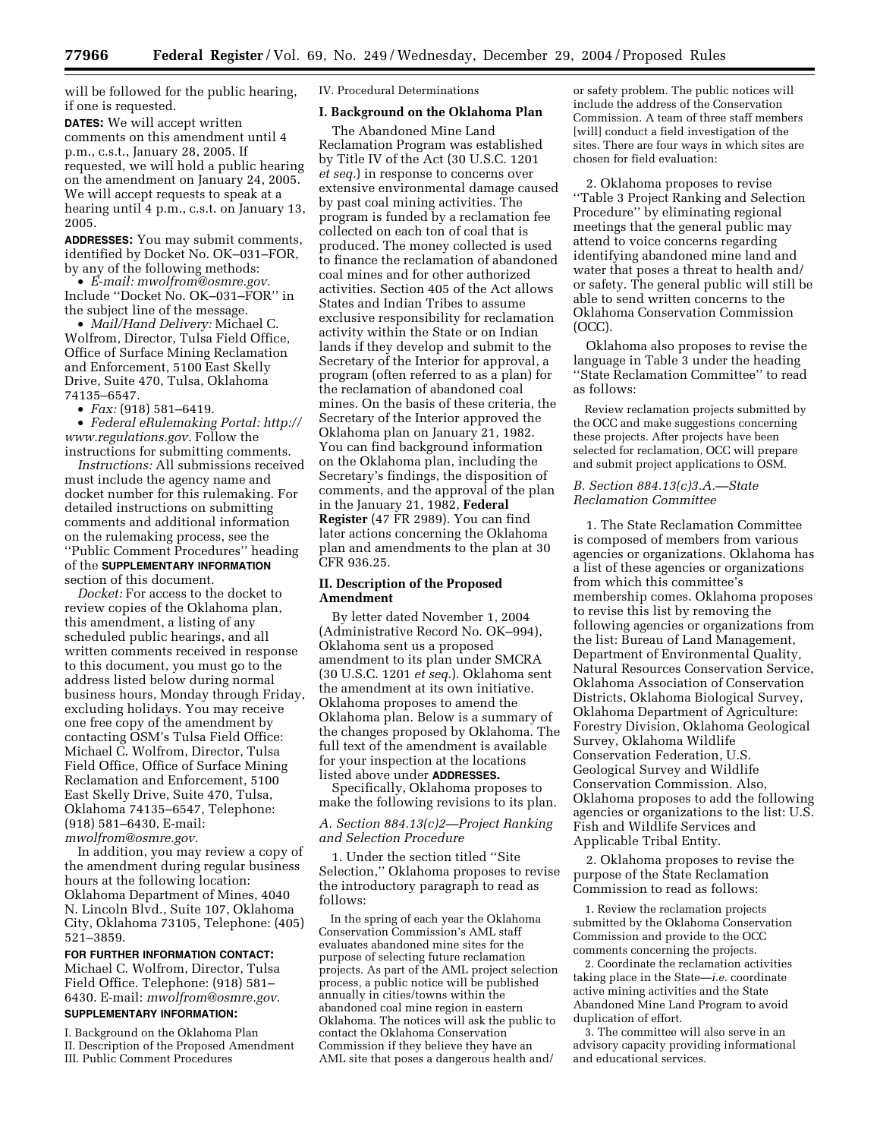will be followed for the public hearing, if one is requested.

**DATES:** We will accept written comments on this amendment until 4 p.m., c.s.t., January 28, 2005. If requested, we will hold a public hearing on the amendment on January 24, 2005. We will accept requests to speak at a hearing until 4 p.m., c.s.t. on January 13, 2005.

**ADDRESSES:** You may submit comments, identified by Docket No. OK–031–FOR, by any of the following methods:

• *E-mail: mwolfrom@osmre.gov.* Include ''Docket No. OK–031–FOR'' in the subject line of the message.

• *Mail/Hand Delivery:* Michael C. Wolfrom, Director, Tulsa Field Office, Office of Surface Mining Reclamation and Enforcement, 5100 East Skelly Drive, Suite 470, Tulsa, Oklahoma 74135–6547.

• *Fax:* (918) 581–6419.

• *Federal eRulemaking Portal: http:// www.regulations.gov.* Follow the instructions for submitting comments.

*Instructions:* All submissions received must include the agency name and docket number for this rulemaking. For detailed instructions on submitting comments and additional information on the rulemaking process, see the ''Public Comment Procedures'' heading of the **SUPPLEMENTARY INFORMATION**

section of this document. *Docket:* For access to the docket to

review copies of the Oklahoma plan, this amendment, a listing of any scheduled public hearings, and all written comments received in response to this document, you must go to the address listed below during normal business hours, Monday through Friday, excluding holidays. You may receive one free copy of the amendment by contacting OSM's Tulsa Field Office: Michael C. Wolfrom, Director, Tulsa Field Office, Office of Surface Mining Reclamation and Enforcement, 5100 East Skelly Drive, Suite 470, Tulsa, Oklahoma 74135–6547, Telephone: (918) 581–6430, E-mail: *mwolfrom@osmre.gov.*

In addition, you may review a copy of the amendment during regular business hours at the following location: Oklahoma Department of Mines, 4040 N. Lincoln Blvd., Suite 107, Oklahoma City, Oklahoma 73105, Telephone: (405) 521–3859.

#### **FOR FURTHER INFORMATION CONTACT:**

Michael C. Wolfrom, Director, Tulsa Field Office. Telephone: (918) 581– 6430. E-mail: *mwolfrom@osmre.gov*.

# **SUPPLEMENTARY INFORMATION:**

I. Background on the Oklahoma Plan II. Description of the Proposed Amendment III. Public Comment Procedures

IV. Procedural Determinations

## **I. Background on the Oklahoma Plan**

The Abandoned Mine Land Reclamation Program was established by Title IV of the Act (30 U.S.C. 1201 *et seq.*) in response to concerns over extensive environmental damage caused by past coal mining activities. The program is funded by a reclamation fee collected on each ton of coal that is produced. The money collected is used to finance the reclamation of abandoned coal mines and for other authorized activities. Section 405 of the Act allows States and Indian Tribes to assume exclusive responsibility for reclamation activity within the State or on Indian lands if they develop and submit to the Secretary of the Interior for approval, a program (often referred to as a plan) for the reclamation of abandoned coal mines. On the basis of these criteria, the Secretary of the Interior approved the Oklahoma plan on January 21, 1982. You can find background information on the Oklahoma plan, including the Secretary's findings, the disposition of comments, and the approval of the plan in the January 21, 1982, **Federal Register** (47 FR 2989). You can find later actions concerning the Oklahoma plan and amendments to the plan at 30 CFR 936.25.

## **II. Description of the Proposed Amendment**

By letter dated November 1, 2004 (Administrative Record No. OK–994), Oklahoma sent us a proposed amendment to its plan under SMCRA (30 U.S.C. 1201 *et seq.*). Oklahoma sent the amendment at its own initiative. Oklahoma proposes to amend the Oklahoma plan. Below is a summary of the changes proposed by Oklahoma. The full text of the amendment is available for your inspection at the locations listed above under **ADDRESSES.**

Specifically, Oklahoma proposes to make the following revisions to its plan.

## *A. Section 884.13(c)2—Project Ranking and Selection Procedure*

1. Under the section titled ''Site Selection,'' Oklahoma proposes to revise the introductory paragraph to read as follows:

In the spring of each year the Oklahoma Conservation Commission's AML staff evaluates abandoned mine sites for the purpose of selecting future reclamation projects. As part of the AML project selection process, a public notice will be published annually in cities/towns within the abandoned coal mine region in eastern Oklahoma. The notices will ask the public to contact the Oklahoma Conservation Commission if they believe they have an AML site that poses a dangerous health and/

or safety problem. The public notices will include the address of the Conservation Commission. A team of three staff members [will] conduct a field investigation of the sites. There are four ways in which sites are chosen for field evaluation:

2. Oklahoma proposes to revise ''Table 3 Project Ranking and Selection Procedure'' by eliminating regional meetings that the general public may attend to voice concerns regarding identifying abandoned mine land and water that poses a threat to health and/ or safety. The general public will still be able to send written concerns to the Oklahoma Conservation Commission (OCC).

Oklahoma also proposes to revise the language in Table 3 under the heading ''State Reclamation Committee'' to read as follows:

Review reclamation projects submitted by the OCC and make suggestions concerning these projects. After projects have been selected for reclamation, OCC will prepare and submit project applications to OSM.

*B. Section 884.13(c)3.A.—State Reclamation Committee* 

1. The State Reclamation Committee is composed of members from various agencies or organizations. Oklahoma has a list of these agencies or organizations from which this committee's membership comes. Oklahoma proposes to revise this list by removing the following agencies or organizations from the list: Bureau of Land Management, Department of Environmental Quality, Natural Resources Conservation Service, Oklahoma Association of Conservation Districts, Oklahoma Biological Survey, Oklahoma Department of Agriculture: Forestry Division, Oklahoma Geological Survey, Oklahoma Wildlife Conservation Federation, U.S. Geological Survey and Wildlife Conservation Commission. Also, Oklahoma proposes to add the following agencies or organizations to the list: U.S. Fish and Wildlife Services and Applicable Tribal Entity.

2. Oklahoma proposes to revise the purpose of the State Reclamation Commission to read as follows:

1. Review the reclamation projects submitted by the Oklahoma Conservation Commission and provide to the OCC comments concerning the projects.

2. Coordinate the reclamation activities taking place in the State—*i.e.* coordinate active mining activities and the State Abandoned Mine Land Program to avoid duplication of effort.

3. The committee will also serve in an advisory capacity providing informational and educational services.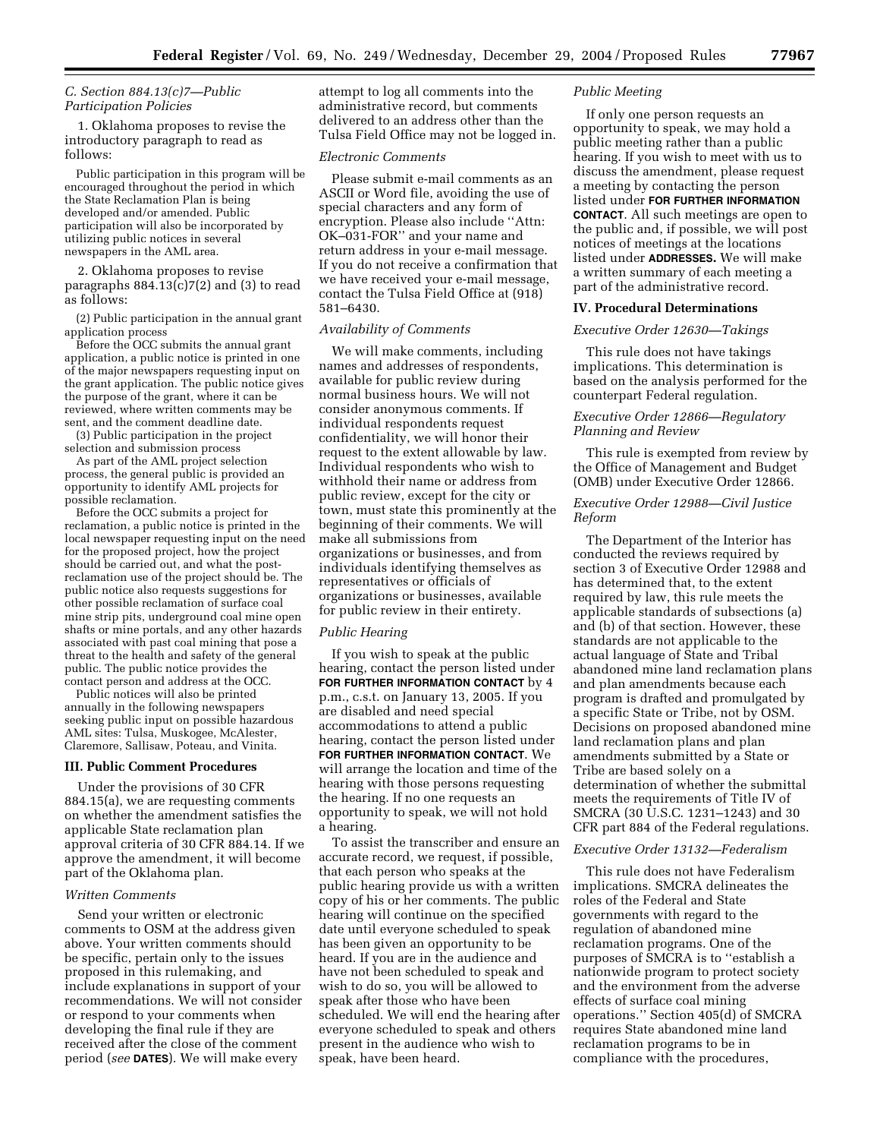# *C. Section 884.13(c)7—Public Participation Policies*

1. Oklahoma proposes to revise the introductory paragraph to read as follows:

Public participation in this program will be encouraged throughout the period in which the State Reclamation Plan is being developed and/or amended. Public participation will also be incorporated by utilizing public notices in several newspapers in the AML area.

2. Oklahoma proposes to revise paragraphs  $884.13(c)7(2)$  and  $(3)$  to read as follows:

(2) Public participation in the annual grant application process

Before the OCC submits the annual grant application, a public notice is printed in one of the major newspapers requesting input on the grant application. The public notice gives the purpose of the grant, where it can be reviewed, where written comments may be sent, and the comment deadline date.

(3) Public participation in the project selection and submission process

As part of the AML project selection process, the general public is provided an opportunity to identify AML projects for possible reclamation.

Before the OCC submits a project for reclamation, a public notice is printed in the local newspaper requesting input on the need for the proposed project, how the project should be carried out, and what the postreclamation use of the project should be. The public notice also requests suggestions for other possible reclamation of surface coal mine strip pits, underground coal mine open shafts or mine portals, and any other hazards associated with past coal mining that pose a threat to the health and safety of the general public. The public notice provides the contact person and address at the OCC.

Public notices will also be printed annually in the following newspapers seeking public input on possible hazardous AML sites: Tulsa, Muskogee, McAlester, Claremore, Sallisaw, Poteau, and Vinita.

# **III. Public Comment Procedures**

Under the provisions of 30 CFR 884.15(a), we are requesting comments on whether the amendment satisfies the applicable State reclamation plan approval criteria of 30 CFR 884.14. If we approve the amendment, it will become part of the Oklahoma plan.

#### *Written Comments*

Send your written or electronic comments to OSM at the address given above. Your written comments should be specific, pertain only to the issues proposed in this rulemaking, and include explanations in support of your recommendations. We will not consider or respond to your comments when developing the final rule if they are received after the close of the comment period (*see* **DATES**). We will make every

attempt to log all comments into the administrative record, but comments delivered to an address other than the Tulsa Field Office may not be logged in.

#### *Electronic Comments*

Please submit e-mail comments as an ASCII or Word file, avoiding the use of special characters and any form of encryption. Please also include ''Attn: OK–031-FOR'' and your name and return address in your e-mail message. If you do not receive a confirmation that we have received your e-mail message, contact the Tulsa Field Office at (918) 581–6430.

# *Availability of Comments*

We will make comments, including names and addresses of respondents, available for public review during normal business hours. We will not consider anonymous comments. If individual respondents request confidentiality, we will honor their request to the extent allowable by law. Individual respondents who wish to withhold their name or address from public review, except for the city or town, must state this prominently at the beginning of their comments. We will make all submissions from organizations or businesses, and from individuals identifying themselves as representatives or officials of organizations or businesses, available for public review in their entirety.

### *Public Hearing*

If you wish to speak at the public hearing, contact the person listed under **FOR FURTHER INFORMATION CONTACT** by 4 p.m., c.s.t. on January 13, 2005. If you are disabled and need special accommodations to attend a public hearing, contact the person listed under **FOR FURTHER INFORMATION CONTACT**. We will arrange the location and time of the hearing with those persons requesting the hearing. If no one requests an opportunity to speak, we will not hold a hearing.

To assist the transcriber and ensure an accurate record, we request, if possible, that each person who speaks at the public hearing provide us with a written copy of his or her comments. The public hearing will continue on the specified date until everyone scheduled to speak has been given an opportunity to be heard. If you are in the audience and have not been scheduled to speak and wish to do so, you will be allowed to speak after those who have been scheduled. We will end the hearing after everyone scheduled to speak and others present in the audience who wish to speak, have been heard.

### *Public Meeting*

If only one person requests an opportunity to speak, we may hold a public meeting rather than a public hearing. If you wish to meet with us to discuss the amendment, please request a meeting by contacting the person listed under **FOR FURTHER INFORMATION CONTACT**. All such meetings are open to the public and, if possible, we will post notices of meetings at the locations listed under **ADDRESSES.** We will make a written summary of each meeting a part of the administrative record.

## **IV. Procedural Determinations**

# *Executive Order 12630—Takings*

This rule does not have takings implications. This determination is based on the analysis performed for the counterpart Federal regulation.

# *Executive Order 12866—Regulatory Planning and Review*

This rule is exempted from review by the Office of Management and Budget (OMB) under Executive Order 12866.

## *Executive Order 12988—Civil Justice Reform*

The Department of the Interior has conducted the reviews required by section 3 of Executive Order 12988 and has determined that, to the extent required by law, this rule meets the applicable standards of subsections (a) and (b) of that section. However, these standards are not applicable to the actual language of State and Tribal abandoned mine land reclamation plans and plan amendments because each program is drafted and promulgated by a specific State or Tribe, not by OSM. Decisions on proposed abandoned mine land reclamation plans and plan amendments submitted by a State or Tribe are based solely on a determination of whether the submittal meets the requirements of Title IV of SMCRA (30 U.S.C. 1231-1243) and 30 CFR part 884 of the Federal regulations.

#### *Executive Order 13132—Federalism*

This rule does not have Federalism implications. SMCRA delineates the roles of the Federal and State governments with regard to the regulation of abandoned mine reclamation programs. One of the purposes of SMCRA is to ''establish a nationwide program to protect society and the environment from the adverse effects of surface coal mining operations.'' Section 405(d) of SMCRA requires State abandoned mine land reclamation programs to be in compliance with the procedures,